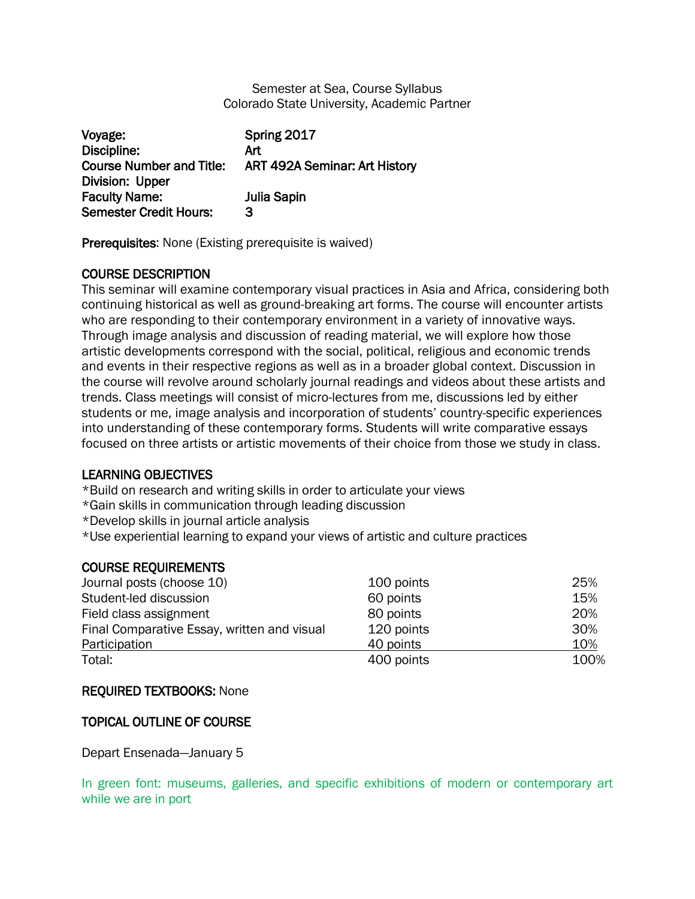#### Semester at Sea, Course Syllabus Colorado State University, Academic Partner

| Voyage:                         | Spring 2017                          |
|---------------------------------|--------------------------------------|
| Discipline:                     | Art                                  |
| <b>Course Number and Title:</b> | <b>ART 492A Seminar: Art History</b> |
| <b>Division: Upper</b>          |                                      |
| <b>Faculty Name:</b>            | Julia Sapin                          |
| <b>Semester Credit Hours:</b>   | з                                    |

Prerequisites: None (Existing prerequisite is waived)

## COURSE DESCRIPTION

This seminar will examine contemporary visual practices in Asia and Africa, considering both continuing historical as well as ground-breaking art forms. The course will encounter artists who are responding to their contemporary environment in a variety of innovative ways. Through image analysis and discussion of reading material, we will explore how those artistic developments correspond with the social, political, religious and economic trends and events in their respective regions as well as in a broader global context. Discussion in the course will revolve around scholarly journal readings and videos about these artists and trends. Class meetings will consist of micro-lectures from me, discussions led by either students or me, image analysis and incorporation of students' country-specific experiences into understanding of these contemporary forms. Students will write comparative essays focused on three artists or artistic movements of their choice from those we study in class.

## LEARNING OBJECTIVES

\*Build on research and writing skills in order to articulate your views

\*Gain skills in communication through leading discussion

\*Develop skills in journal article analysis

\*Use experiential learning to expand your views of artistic and culture practices

## COURSE REQUIREMENTS

| Journal posts (choose 10)                   | 100 points | 25%  |
|---------------------------------------------|------------|------|
| Student-led discussion                      | 60 points  | 15%  |
| Field class assignment                      | 80 points  | 20%  |
| Final Comparative Essay, written and visual | 120 points | 30%  |
| Participation                               | 40 points  | 10%  |
| Total:                                      | 400 points | 100% |

#### REQUIRED TEXTBOOKS: None

## TOPICAL OUTLINE OF COURSE

Depart Ensenada—January 5

In green font: museums, galleries, and specific exhibitions of modern or contemporary art while we are in port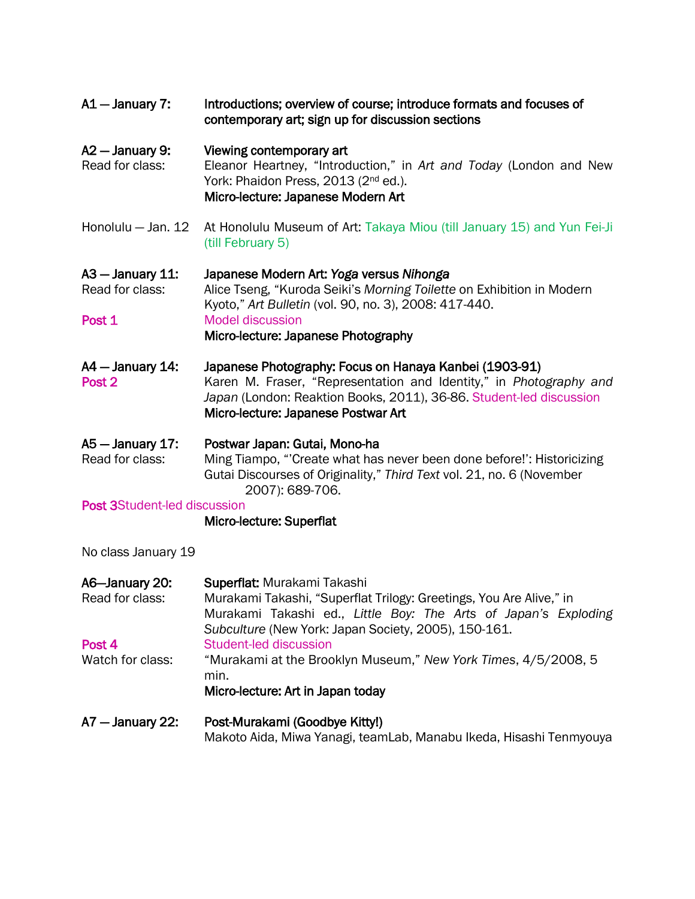| $A1 - January 7$ :                               | Introductions; overview of course; introduce formats and focuses of<br>contemporary art; sign up for discussion sections                                                                                                                     |  |  |  |
|--------------------------------------------------|----------------------------------------------------------------------------------------------------------------------------------------------------------------------------------------------------------------------------------------------|--|--|--|
| A2 - January 9:<br>Read for class:               | Viewing contemporary art<br>Eleanor Heartney, "Introduction," in Art and Today (London and New<br>York: Phaidon Press, 2013 (2 <sup>nd</sup> ed.).<br>Micro-lecture: Japanese Modern Art                                                     |  |  |  |
| Honolulu - Jan. 12                               | At Honolulu Museum of Art: Takaya Miou (till January 15) and Yun Fei-Ji<br>(till February 5)                                                                                                                                                 |  |  |  |
| $A3 - January 11$ :<br>Read for class:<br>Post 1 | Japanese Modern Art: Yoga versus Nihonga<br>Alice Tseng, "Kuroda Seiki's Morning Toilette on Exhibition in Modern<br>Kyoto," Art Bulletin (vol. 90, no. 3), 2008: 417-440.<br><b>Model discussion</b><br>Micro-lecture: Japanese Photography |  |  |  |
| A4 - January 14:<br>Post <sub>2</sub>            | Japanese Photography: Focus on Hanaya Kanbei (1903-91)<br>Karen M. Fraser, "Representation and Identity," in Photography and<br>Japan (London: Reaktion Books, 2011), 36-86. Student-led discussion<br>Micro-lecture: Japanese Postwar Art   |  |  |  |
| $A5 -$ January 17:<br>Read for class:            | Postwar Japan: Gutai, Mono-ha<br>Ming Tiampo, "'Create what has never been done before!': Historicizing<br>Gutai Discourses of Originality," Third Text vol. 21, no. 6 (November<br>2007): 689-706.                                          |  |  |  |
| Post 3Student-led discussion                     | Micro-lecture: Superflat                                                                                                                                                                                                                     |  |  |  |
| No class January 19                              |                                                                                                                                                                                                                                              |  |  |  |
| A6-January 20:<br>Read for class:                | Superflat: Murakami Takashi<br>Murakami Takashi, "Superflat Trilogy: Greetings, You Are Alive," in<br>Murakami Takashi ed., Little Boy: The Arts of Japan's Exploding<br>Subculture (New York: Japan Society, 2005), 150-161.                |  |  |  |
| Post 4<br>Watch for class:                       | Student-led discussion<br>"Murakami at the Brooklyn Museum," New York Times, 4/5/2008, 5<br>min.<br>Micro-lecture: Art in Japan today                                                                                                        |  |  |  |
| $A7 -$ January 22:                               | Post-Murakami (Goodbye Kitty!)<br>Makoto Aida, Miwa Yanagi, teamLab, Manabu Ikeda, Hisashi Tenmyouya                                                                                                                                         |  |  |  |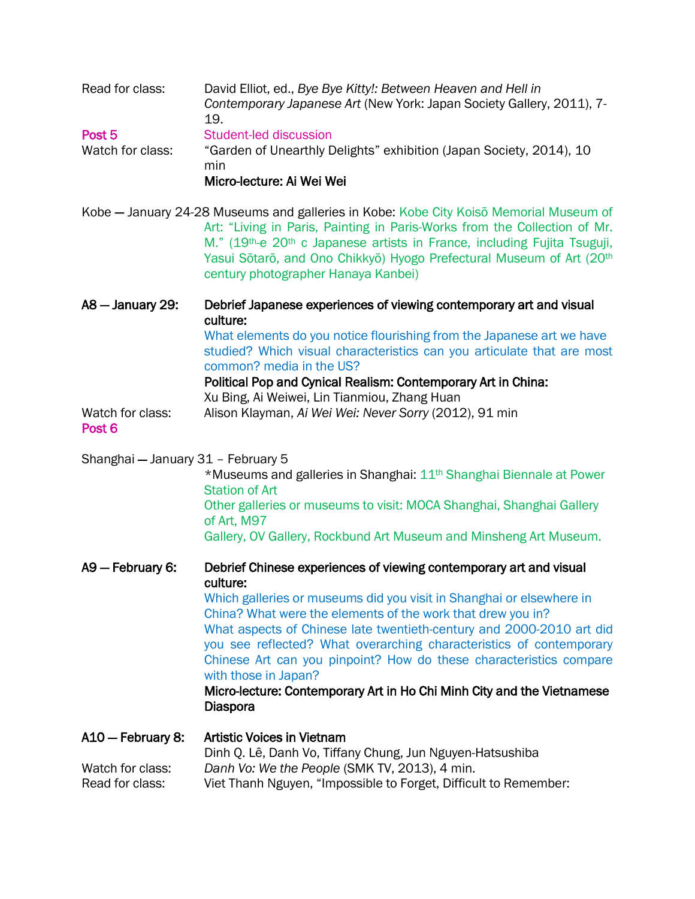| Read for class:                       | David Elliot, ed., Bye Bye Kitty!: Between Heaven and Hell in<br>Contemporary Japanese Art (New York: Japan Society Gallery, 2011), 7-<br>19.                                                                                                                                                                                                                                                                                                              |
|---------------------------------------|------------------------------------------------------------------------------------------------------------------------------------------------------------------------------------------------------------------------------------------------------------------------------------------------------------------------------------------------------------------------------------------------------------------------------------------------------------|
| Post <sub>5</sub>                     | Student-led discussion                                                                                                                                                                                                                                                                                                                                                                                                                                     |
| Watch for class:                      | "Garden of Unearthly Delights" exhibition (Japan Society, 2014), 10                                                                                                                                                                                                                                                                                                                                                                                        |
|                                       | min<br>Micro-lecture: Ai Wei Wei                                                                                                                                                                                                                                                                                                                                                                                                                           |
|                                       | Kobe - January 24-28 Museums and galleries in Kobe: Kobe City Koiso Memorial Museum of<br>Art: "Living in Paris, Painting in Paris-Works from the Collection of Mr.<br>M." (19th-e 20th c Japanese artists in France, including Fujita Tsuguji,<br>Yasui Sōtarō, and Ono Chikkyō) Hyogo Prefectural Museum of Art (20th<br>century photographer Hanaya Kanbei)                                                                                             |
| $AS - January 29$ :                   | Debrief Japanese experiences of viewing contemporary art and visual<br>culture:                                                                                                                                                                                                                                                                                                                                                                            |
|                                       | What elements do you notice flourishing from the Japanese art we have<br>studied? Which visual characteristics can you articulate that are most<br>common? media in the US?                                                                                                                                                                                                                                                                                |
|                                       | Political Pop and Cynical Realism: Contemporary Art in China:                                                                                                                                                                                                                                                                                                                                                                                              |
| Watch for class:<br>Post <sub>6</sub> | Xu Bing, Ai Weiwei, Lin Tianmiou, Zhang Huan<br>Alison Klayman, Ai Wei Wei: Never Sorry (2012), 91 min                                                                                                                                                                                                                                                                                                                                                     |
| Shanghai - January 31 - February 5    |                                                                                                                                                                                                                                                                                                                                                                                                                                                            |
|                                       | *Museums and galleries in Shanghai: 11 <sup>th</sup> Shanghai Biennale at Power<br><b>Station of Art</b>                                                                                                                                                                                                                                                                                                                                                   |
|                                       | Other galleries or museums to visit: MOCA Shanghai, Shanghai Gallery<br>of Art, M97                                                                                                                                                                                                                                                                                                                                                                        |
|                                       | Gallery, OV Gallery, Rockbund Art Museum and Minsheng Art Museum.                                                                                                                                                                                                                                                                                                                                                                                          |
| A9 - February 6:                      | Debrief Chinese experiences of viewing contemporary art and visual<br>culture:                                                                                                                                                                                                                                                                                                                                                                             |
|                                       | Which galleries or museums did you visit in Shanghai or elsewhere in<br>China? What were the elements of the work that drew you in?<br>What aspects of Chinese late twentieth-century and 2000-2010 art did<br>you see reflected? What overarching characteristics of contemporary<br>Chinese Art can you pinpoint? How do these characteristics compare<br>with those in Japan?<br>Micro-lecture: Contemporary Art in Ho Chi Minh City and the Vietnamese |
|                                       | <b>Diaspora</b>                                                                                                                                                                                                                                                                                                                                                                                                                                            |
| A10 - February 8:                     | <b>Artistic Voices in Vietnam</b><br>Dinh Q. Lê, Danh Vo, Tiffany Chung, Jun Nguyen-Hatsushiba                                                                                                                                                                                                                                                                                                                                                             |
| Watch for class:<br>Read for class:   | Danh Vo: We the People (SMK TV, 2013), 4 min.<br>Viet Thanh Nguyen, "Impossible to Forget, Difficult to Remember:                                                                                                                                                                                                                                                                                                                                          |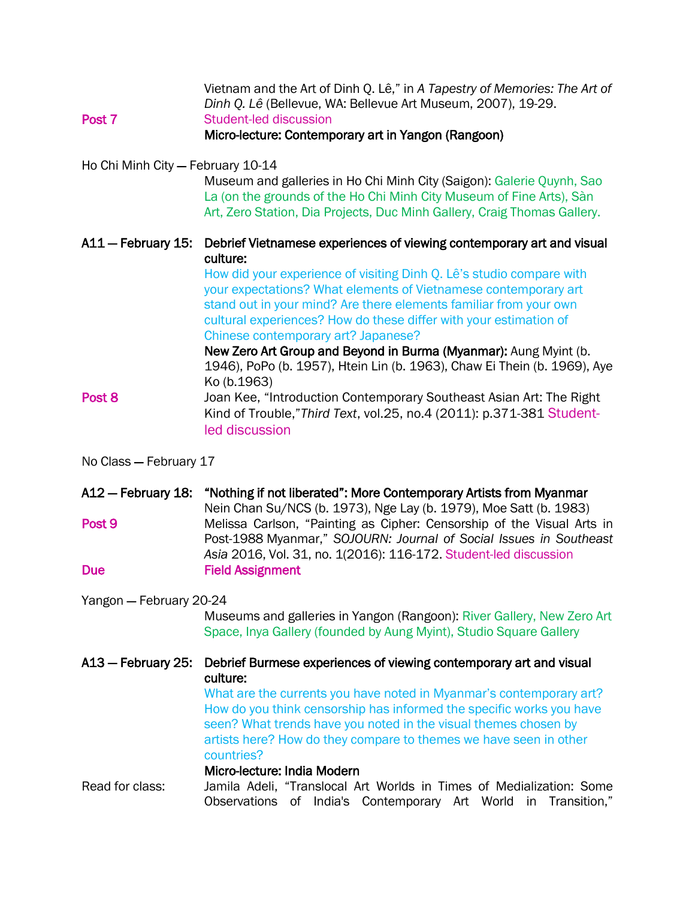| Post <sub>7</sub>                 | Vietnam and the Art of Dinh Q. Lê," in A Tapestry of Memories: The Art of<br>Dinh Q. Lê (Bellevue, WA: Bellevue Art Museum, 2007), 19-29.<br>Student-led discussion<br>Micro-lecture: Contemporary art in Yangon (Rangoon)                                                                                                                                                                                                                                                                                                                                                                      |  |  |
|-----------------------------------|-------------------------------------------------------------------------------------------------------------------------------------------------------------------------------------------------------------------------------------------------------------------------------------------------------------------------------------------------------------------------------------------------------------------------------------------------------------------------------------------------------------------------------------------------------------------------------------------------|--|--|
| Ho Chi Minh City - February 10-14 | Museum and galleries in Ho Chi Minh City (Saigon): Galerie Quynh, Sao<br>La (on the grounds of the Ho Chi Minh City Museum of Fine Arts), Sàn<br>Art, Zero Station, Dia Projects, Duc Minh Gallery, Craig Thomas Gallery.                                                                                                                                                                                                                                                                                                                                                                       |  |  |
|                                   | A11 – February 15: Debrief Vietnamese experiences of viewing contemporary art and visual<br>culture:<br>How did your experience of visiting Dinh Q. Lê's studio compare with<br>your expectations? What elements of Vietnamese contemporary art<br>stand out in your mind? Are there elements familiar from your own<br>cultural experiences? How do these differ with your estimation of<br>Chinese contemporary art? Japanese?<br>New Zero Art Group and Beyond in Burma (Myanmar): Aung Myint (b.<br>1946), PoPo (b. 1957), Htein Lin (b. 1963), Chaw Ei Thein (b. 1969), Aye<br>Ko (b.1963) |  |  |
| Post 8                            | Joan Kee, "Introduction Contemporary Southeast Asian Art: The Right<br>Kind of Trouble,"Third Text, vol.25, no.4 (2011): p.371-381 Student-<br>led discussion                                                                                                                                                                                                                                                                                                                                                                                                                                   |  |  |

No Class — February 17

A12 — February 18: "Nothing if not liberated": More Contemporary Artists from Myanmar Nein Chan Su/NCS (b. 1973), Nge Lay (b. 1979), Moe Satt (b. 1983) Post 9 Melissa Carlson, "Painting as Cipher: Censorship of the Visual Arts in Post-1988 Myanmar," *SOJOURN: Journal of Social Issues in Southeast Asia* 2016, Vol. 31, no. 1(2016): 116-172. Student-led discussion Due **Field Assignment** 

# Yangon — February 20-24

Museums and galleries in Yangon (Rangoon): River Gallery, New Zero Art Space, Inya Gallery (founded by Aung Myint), Studio Square Gallery

A13 — February 25: Debrief Burmese experiences of viewing contemporary art and visual culture: What are the currents you have noted in Myanmar's contemporary art? How do you think censorship has informed the specific works you have seen? What trends have you noted in the visual themes chosen by artists here? How do they compare to themes we have seen in other countries? Micro-lecture: India Modern

Read for class: Jamila Adeli, "Translocal Art Worlds in Times of Medialization: Some Observations of India's Contemporary Art World in Transition,"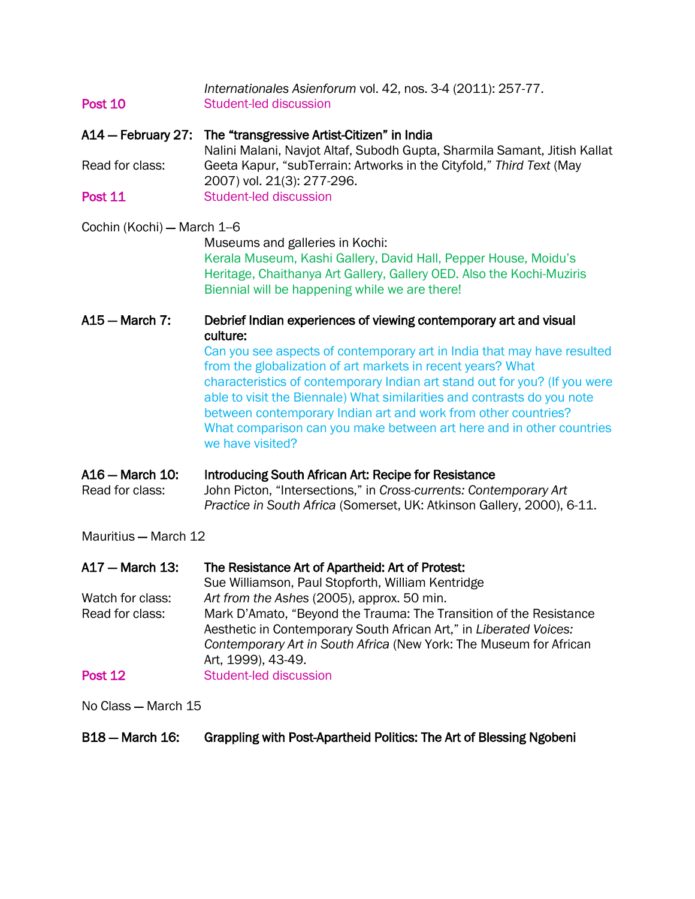### *Internationales Asienforum* vol. 42, nos. 3-4 (2011): 257-77. **Post 10** Student-led discussion

### A14 — February 27: The "transgressive Artist-Citizen" in India Nalini Malani, Navjot Altaf, Subodh Gupta, Sharmila Samant, Jitish Kallat Read for class: Geeta Kapur, "subTerrain: Artworks in the Cityfold," *Third Text* (May 2007) vol. 21(3): 277-296. Post 11 Student-led discussion

## Cochin (Kochi) — March 1--6

Museums and galleries in Kochi: Kerala Museum, Kashi Gallery, David Hall, Pepper House, Moidu's Heritage, Chaithanya Art Gallery, Gallery OED. Also the Kochi-Muziris Biennial will be happening while we are there!

# A15 — March 7: Debrief Indian experiences of viewing contemporary art and visual culture:

 Can you see aspects of contemporary art in India that may have resulted from the globalization of art markets in recent years? What characteristics of contemporary Indian art stand out for you? (If you were able to visit the Biennale) What similarities and contrasts do you note between contemporary Indian art and work from other countries? What comparison can you make between art here and in other countries we have visited?

# A16 — March 10: Introducing South African Art: Recipe for Resistance

Read for class: John Picton, "Intersections," in *Cross-currents: Contemporary Art Practice in South Africa* (Somerset, UK: Atkinson Gallery, 2000), 6-11.

Mauritius — March 12

| $A17 - March 13$ : | The Resistance Art of Apartheid: Art of Protest:                   |  |
|--------------------|--------------------------------------------------------------------|--|
|                    | Sue Williamson, Paul Stopforth, William Kentridge                  |  |
| Watch for class:   | Art from the Ashes (2005), approx. 50 min.                         |  |
| Read for class:    | Mark D'Amato, "Beyond the Trauma: The Transition of the Resistance |  |
|                    | Aesthetic in Contemporary South African Art," in Liberated Voices: |  |
|                    | Contemporary Art in South Africa (New York: The Museum for African |  |
|                    | Art, 1999), 43-49.                                                 |  |
| <b>Post 12</b>     | Student-led discussion                                             |  |

No Class — March 15

B18 — March 16: Grappling with Post-Apartheid Politics: The Art of Blessing Ngobeni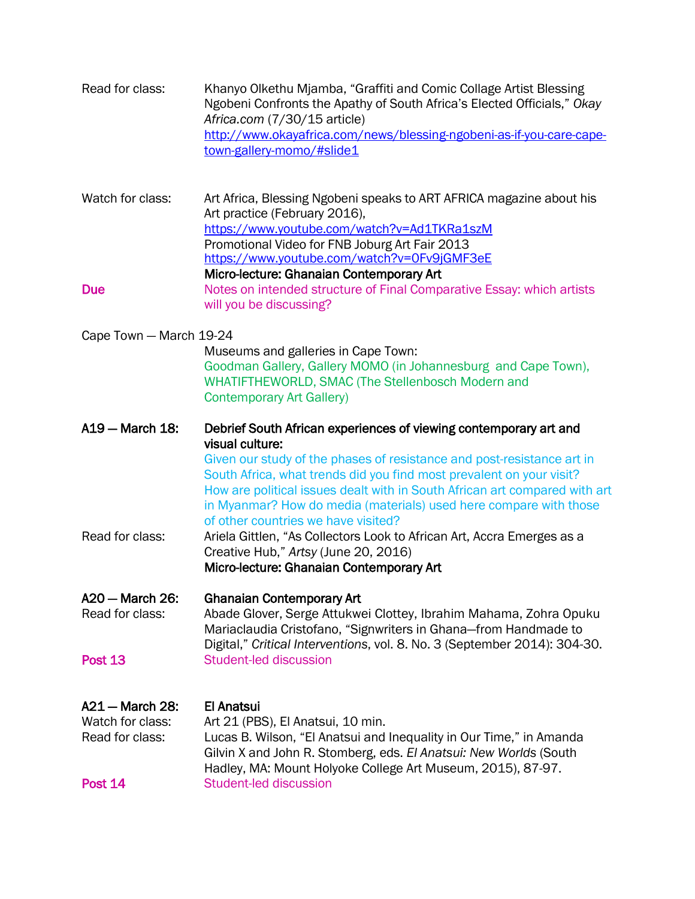| Read for class:                                                             | Khanyo Olkethu Mjamba, "Graffiti and Comic Collage Artist Blessing<br>Ngobeni Confronts the Apathy of South Africa's Elected Officials," Okay<br>Africa.com (7/30/15 article)<br>http://www.okayafrica.com/news/blessing-ngobeni-as-if-you-care-cape-<br>town-gallery-momo/#slide1                                                                                                                                               |
|-----------------------------------------------------------------------------|----------------------------------------------------------------------------------------------------------------------------------------------------------------------------------------------------------------------------------------------------------------------------------------------------------------------------------------------------------------------------------------------------------------------------------|
| Watch for class:                                                            | Art Africa, Blessing Ngobeni speaks to ART AFRICA magazine about his<br>Art practice (February 2016),<br>https://www.youtube.com/watch?v=Ad1TKRa1szM<br>Promotional Video for FNB Joburg Art Fair 2013<br>https://www.youtube.com/watch?v=0Fv9jGMF3eE<br>Micro-lecture: Ghanaian Contemporary Art                                                                                                                                |
| <b>Due</b>                                                                  | Notes on intended structure of Final Comparative Essay: which artists<br>will you be discussing?                                                                                                                                                                                                                                                                                                                                 |
| Cape Town - March 19-24                                                     | Museums and galleries in Cape Town:<br>Goodman Gallery, Gallery MOMO (in Johannesburg and Cape Town),<br>WHATIFTHEWORLD, SMAC (The Stellenbosch Modern and<br><b>Contemporary Art Gallery)</b>                                                                                                                                                                                                                                   |
| $A19 - March 18$ :                                                          | Debrief South African experiences of viewing contemporary art and<br>visual culture:<br>Given our study of the phases of resistance and post-resistance art in<br>South Africa, what trends did you find most prevalent on your visit?<br>How are political issues dealt with in South African art compared with art<br>in Myanmar? How do media (materials) used here compare with those<br>of other countries we have visited? |
| Read for class:                                                             | Ariela Gittlen, "As Collectors Look to African Art, Accra Emerges as a<br>Creative Hub," Artsy (June 20, 2016)<br>Micro-lecture: Ghanaian Contemporary Art                                                                                                                                                                                                                                                                       |
| A20 - March 26:<br>Read for class:                                          | <b>Ghanaian Contemporary Art</b><br>Abade Glover, Serge Attukwei Clottey, Ibrahim Mahama, Zohra Opuku<br>Mariaclaudia Cristofano, "Signwriters in Ghana–from Handmade to<br>Digital," Critical Interventions, vol. 8. No. 3 (September 2014): 304-30.                                                                                                                                                                            |
| <b>Post 13</b>                                                              | Student-led discussion                                                                                                                                                                                                                                                                                                                                                                                                           |
| $A21 - March 28$ :<br>Watch for class:<br>Read for class:<br><b>Post 14</b> | <b>El Anatsui</b><br>Art 21 (PBS), El Anatsui, 10 min.<br>Lucas B. Wilson, "El Anatsui and Inequality in Our Time," in Amanda<br>Gilvin X and John R. Stomberg, eds. El Anatsui: New Worlds (South<br>Hadley, MA: Mount Holyoke College Art Museum, 2015), 87-97.<br>Student-led discussion                                                                                                                                      |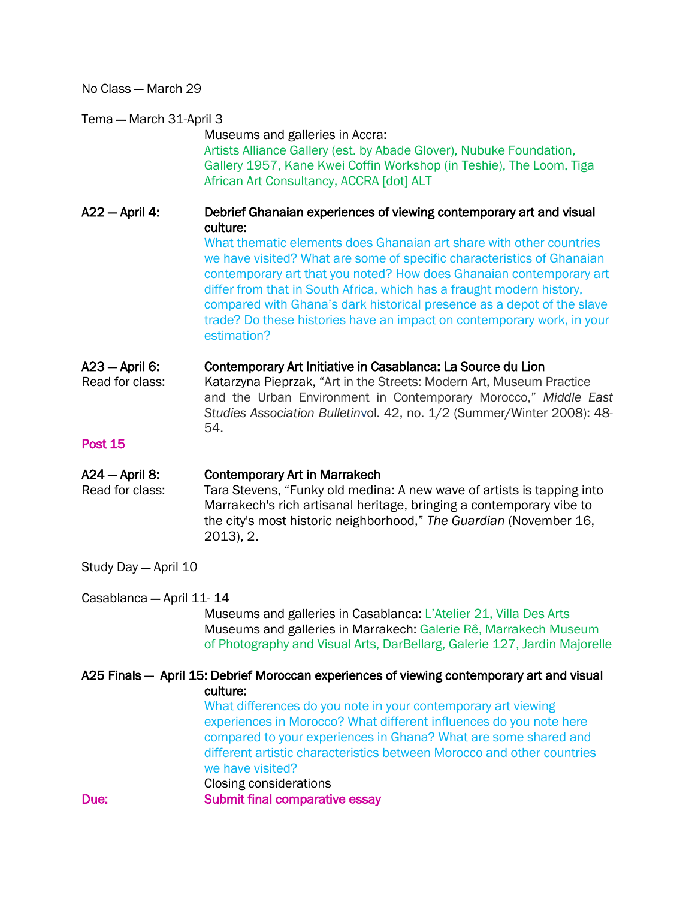No Class — March 29

Tema — March 31-April 3

Museums and galleries in Accra: Artists Alliance Gallery (est. by Abade Glover), Nubuke Foundation, Gallery 1957, Kane Kwei Coffin Workshop (in Teshie), The Loom, Tiga African Art Consultancy, ACCRA [dot] ALT

A22 — April 4: Debrief Ghanaian experiences of viewing contemporary art and visual culture: What thematic elements does Ghanaian art share with other countries we have visited? What are some of specific characteristics of Ghanaian contemporary art that you noted? How does Ghanaian contemporary art differ from that in South Africa, which has a fraught modern history, compared with Ghana's dark historical presence as a depot of the slave trade? Do these histories have an impact on contemporary work, in your estimation?

A23 — April 6: Contemporary Art Initiative in Casablanca: La Source du Lion Read for class: Katarzyna Pieprzak, "Art in the Streets: Modern Art, Museum Practice and the Urban Environment in Contemporary Morocco," *Middle East Studies Association Bulletin*vol. 42, no. 1/2 (Summer/Winter 2008): 48- 54.

### Post 15

### A24 — April 8: Contemporary Art in Marrakech

Read for class: Tara Stevens, "Funky old medina: A new wave of artists is tapping into Marrakech's rich artisanal heritage, bringing a contemporary vibe to the city's most historic neighborhood," *The Guardian* (November 16, 2013), 2.

Study Day — April 10

## Casablanca — April 11- 14

Museums and galleries in Casablanca: L'Atelier 21, Villa Des Arts Museums and galleries in Marrakech: Galerie Rê, Marrakech Museum of Photography and Visual Arts, DarBellarg, Galerie 127, Jardin Majorelle

# A25 Finals — April 15: Debrief Moroccan experiences of viewing contemporary art and visual culture:

What differences do you note in your contemporary art viewing experiences in Morocco? What different influences do you note here compared to your experiences in Ghana? What are some shared and different artistic characteristics between Morocco and other countries we have visited? Closing considerations

Due: Submit final comparative essay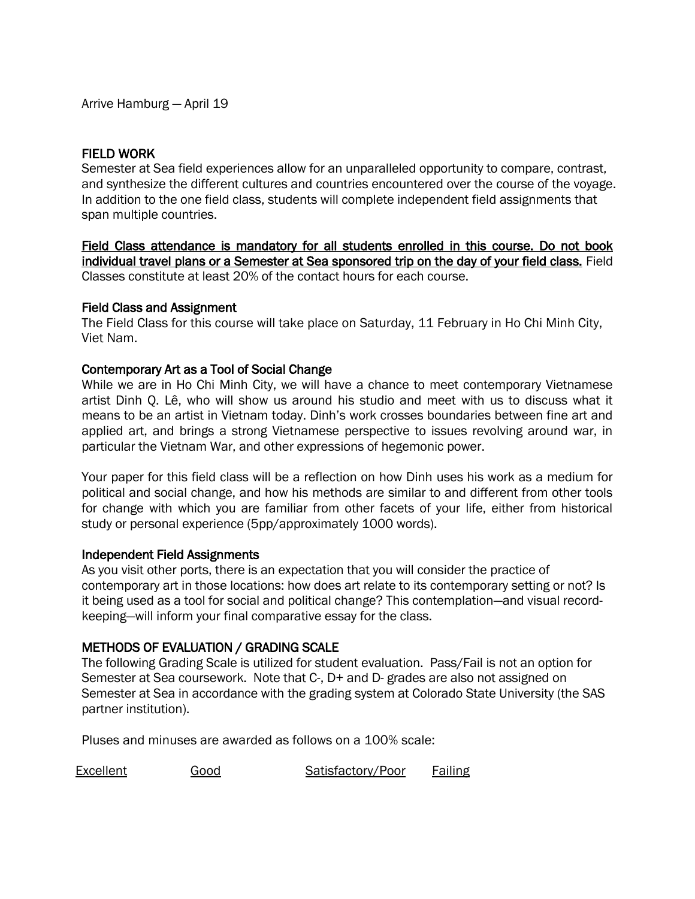## FIELD WORK

Semester at Sea field experiences allow for an unparalleled opportunity to compare, contrast, and synthesize the different cultures and countries encountered over the course of the voyage. In addition to the one field class, students will complete independent field assignments that span multiple countries.

Field Class attendance is mandatory for all students enrolled in this course. Do not book individual travel plans or a Semester at Sea sponsored trip on the day of your field class. Field Classes constitute at least 20% of the contact hours for each course.

## Field Class and Assignment

The Field Class for this course will take place on Saturday, 11 February in Ho Chi Minh City, Viet Nam.

## Contemporary Art as a Tool of Social Change

While we are in Ho Chi Minh City, we will have a chance to meet contemporary Vietnamese artist Dinh Q. Lê, who will show us around his studio and meet with us to discuss what it means to be an artist in Vietnam today. Dinh's work crosses boundaries between fine art and applied art, and brings a strong Vietnamese perspective to issues revolving around war, in particular the Vietnam War, and other expressions of hegemonic power.

Your paper for this field class will be a reflection on how Dinh uses his work as a medium for political and social change, and how his methods are similar to and different from other tools for change with which you are familiar from other facets of your life, either from historical study or personal experience (5pp/approximately 1000 words).

## Independent Field Assignments

As you visit other ports, there is an expectation that you will consider the practice of contemporary art in those locations: how does art relate to its contemporary setting or not? Is it being used as a tool for social and political change? This contemplation—and visual recordkeeping—will inform your final comparative essay for the class.

## METHODS OF EVALUATION / GRADING SCALE

The following Grading Scale is utilized for student evaluation. Pass/Fail is not an option for Semester at Sea coursework. Note that C-, D+ and D- grades are also not assigned on Semester at Sea in accordance with the grading system at Colorado State University (the SAS partner institution).

Pluses and minuses are awarded as follows on a 100% scale:

Excellent Good Satisfactory/Poor Failing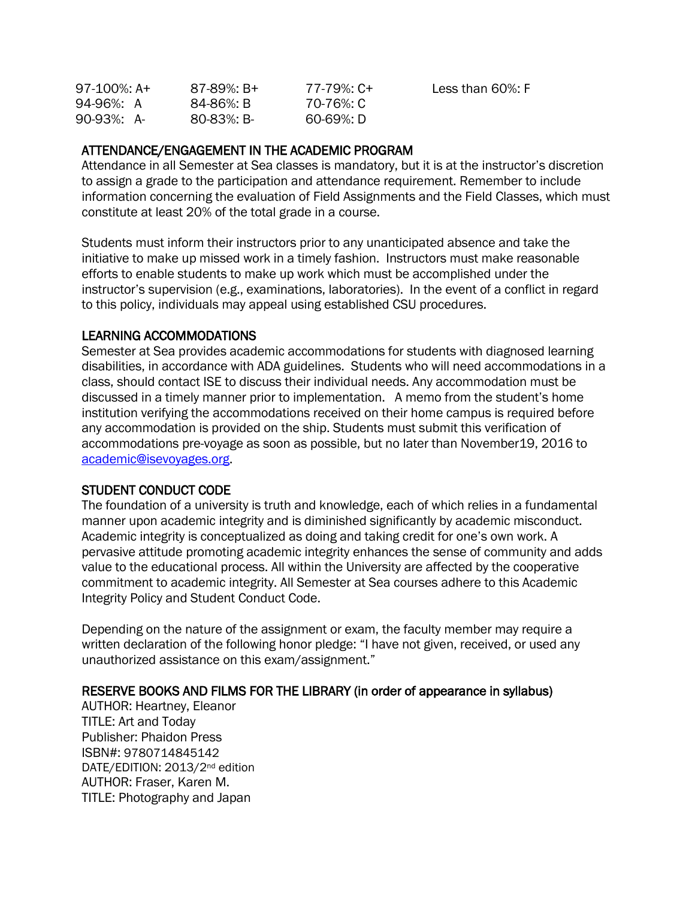| 97-100%: A+ | 87-89%: B+ | 77-79%: C+ |
|-------------|------------|------------|
| 94-96%: A   | 84-86%: B  | 70-76%: C  |
| 90-93%: A-  | 80-83%: B- | 60-69%: D  |

## ATTENDANCE/ENGAGEMENT IN THE ACADEMIC PROGRAM

Attendance in all Semester at Sea classes is mandatory, but it is at the instructor's discretion to assign a grade to the participation and attendance requirement. Remember to include information concerning the evaluation of Field Assignments and the Field Classes, which must constitute at least 20% of the total grade in a course.

Less than 60%: F

Students must inform their instructors prior to any unanticipated absence and take the initiative to make up missed work in a timely fashion. Instructors must make reasonable efforts to enable students to make up work which must be accomplished under the instructor's supervision (e.g., examinations, laboratories). In the event of a conflict in regard to this policy, individuals may appeal using established CSU procedures.

## LEARNING ACCOMMODATIONS

Semester at Sea provides academic accommodations for students with diagnosed learning disabilities, in accordance with ADA guidelines. Students who will need accommodations in a class, should contact ISE to discuss their individual needs. Any accommodation must be discussed in a timely manner prior to implementation. A memo from the student's home institution verifying the accommodations received on their home campus is required before any accommodation is provided on the ship. Students must submit this verification of accommodations pre-voyage as soon as possible, but no later than November19, 2016 to [academic@isevoyages.org.](mailto:academic@isevoyages.org)

#### STUDENT CONDUCT CODE

The foundation of a university is truth and knowledge, each of which relies in a fundamental manner upon academic integrity and is diminished significantly by academic misconduct. Academic integrity is conceptualized as doing and taking credit for one's own work. A pervasive attitude promoting academic integrity enhances the sense of community and adds value to the educational process. All within the University are affected by the cooperative commitment to academic integrity. All Semester at Sea courses adhere to this Academic Integrity Policy and Student Conduct Code.

Depending on the nature of the assignment or exam, the faculty member may require a written declaration of the following honor pledge: "I have not given, received, or used any unauthorized assistance on this exam/assignment."

## RESERVE BOOKS AND FILMS FOR THE LIBRARY (in order of appearance in syllabus)

AUTHOR: Heartney, Eleanor TITLE: Art and Today Publisher: Phaidon Press ISBN#: 9780714845142 DATE/EDITION: 2013/2nd edition AUTHOR: Fraser, Karen M. TITLE: Photography and Japan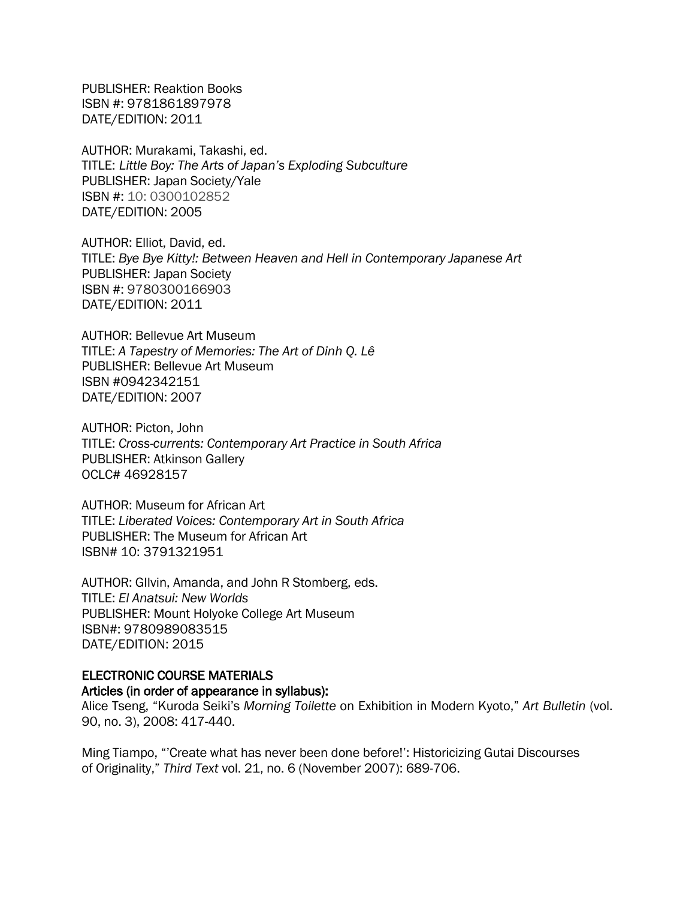PUBLISHER: Reaktion Books ISBN #: 9781861897978 DATE/EDITION: 2011

AUTHOR: Murakami, Takashi, ed. TITLE: *Little Boy: The Arts of Japan's Exploding Subculture* PUBLISHER: Japan Society/Yale ISBN #: 10: 0300102852 DATE/EDITION: 2005

AUTHOR: Elliot, David, ed. TITLE: *Bye Bye Kitty!: Between Heaven and Hell in Contemporary Japanese Art* PUBLISHER: Japan Society ISBN #: 9780300166903 DATE/EDITION: 2011

AUTHOR: Bellevue Art Museum TITLE: *A Tapestry of Memories: The Art of Dinh Q. Lê* PUBLISHER: Bellevue Art Museum ISBN #0942342151 DATE/EDITION: 2007

AUTHOR: Picton, John TITLE: *Cross-currents: Contemporary Art Practice in South Africa*  PUBLISHER: Atkinson Gallery OCLC# 46928157

AUTHOR: Museum for African Art TITLE: *Liberated Voices: Contemporary Art in South Africa* PUBLISHER: The Museum for African Art ISBN# 10: 3791321951

AUTHOR: GIlvin, Amanda, and John R Stomberg, eds. TITLE: *El Anatsui: New Worlds*  PUBLISHER: Mount Holyoke College Art Museum ISBN#: 9780989083515 DATE/EDITION: 2015

#### ELECTRONIC COURSE MATERIALS Articles (in order of appearance in syllabus):

Alice Tseng, "Kuroda Seiki's *Morning Toilette* on Exhibition in Modern Kyoto," *Art Bulletin* (vol. 90, no. 3), 2008: 417-440.

Ming Tiampo, "'Create what has never been done before!': Historicizing Gutai Discourses of Originality," *Third Text* vol. 21, no. 6 (November 2007): 689-706.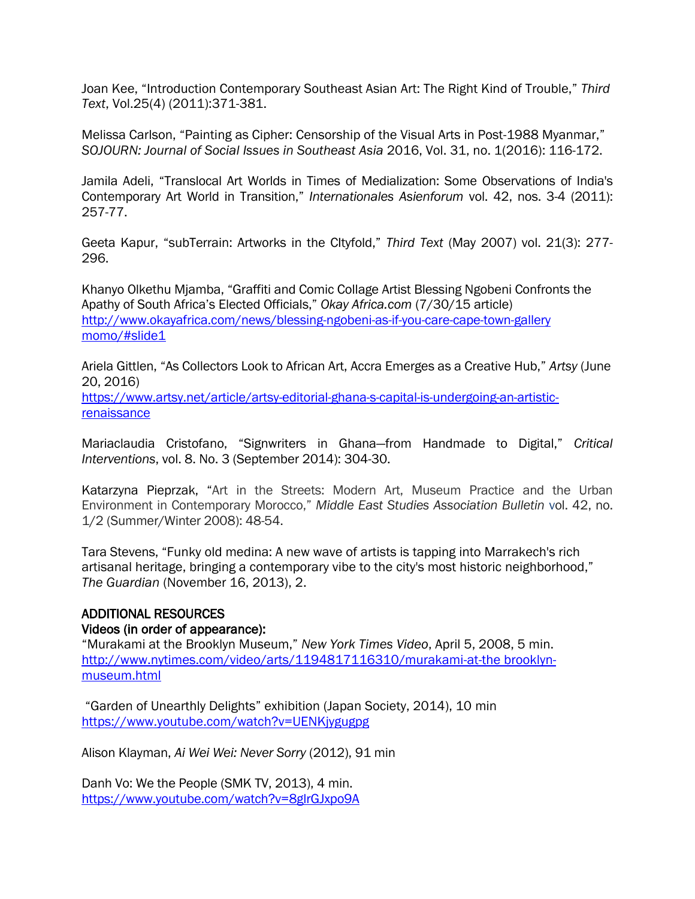Joan Kee, "Introduction Contemporary Southeast Asian Art: The Right Kind of Trouble," *Third Text*, Vol.25(4) (2011):371-381.

Melissa Carlson, "Painting as Cipher: Censorship of the Visual Arts in Post-1988 Myanmar," *SOJOURN: Journal of Social Issues in Southeast Asia* 2016, Vol. 31, no. 1(2016): 116-172.

Jamila Adeli, "Translocal Art Worlds in Times of Medialization: Some Observations of India's Contemporary Art World in Transition," *Internationales Asienforum* vol. 42, nos. 3-4 (2011): 257-77.

Geeta Kapur, "subTerrain: Artworks in the CItyfold," *Third Text* (May 2007) vol. 21(3): 277- 296.

Khanyo Olkethu Mjamba, "Graffiti and Comic Collage Artist Blessing Ngobeni Confronts the Apathy of South Africa's Elected Officials," *Okay Africa.com* (7/30/15 article) [http://www.okayafrica.com/news/blessing-ngobeni-as-if-you-care-cape-town-gallery](http://www.okayafrica.com/news/blessing-ngobeni-as-if-you-care-cape-town-gallery%20momo/#slide1)  [momo/#slide1](http://www.okayafrica.com/news/blessing-ngobeni-as-if-you-care-cape-town-gallery%20momo/#slide1)

Ariela Gittlen, "As Collectors Look to African Art, Accra Emerges as a Creative Hub," *Artsy* (June 20, 2016)

[https://www.artsy.net/article/artsy-editorial-ghana-s-capital-is-undergoing-an-artistic](https://www.artsy.net/article/artsy-editorial-ghana-s-capital-is-undergoing-an-artistic-renaissance)[renaissance](https://www.artsy.net/article/artsy-editorial-ghana-s-capital-is-undergoing-an-artistic-renaissance)

Mariaclaudia Cristofano, "Signwriters in Ghana—from Handmade to Digital," *Critical Interventions*, vol. 8. No. 3 (September 2014): 304-30.

Katarzyna Pieprzak, "Art in the Streets: Modern Art, Museum Practice and the Urban Environment in Contemporary Morocco," *Middle East Studies Association Bulletin* vol. 42, no. 1/2 (Summer/Winter 2008): 48-54.

Tara Stevens, "Funky old medina: A new wave of artists is tapping into Marrakech's rich artisanal heritage, bringing a contemporary vibe to the city's most historic neighborhood," *The Guardian* (November 16, 2013), 2.

## ADDITIONAL RESOURCES

## Videos (in order of appearance):

"Murakami at the Brooklyn Museum," *New York Times Video*, April 5, 2008, 5 min. [http://www.nytimes.com/video/arts/1194817116310/murakami-at-the brooklyn](http://www.nytimes.com/video/arts/1194817116310/murakami-at-the%20brooklyn-museum.html)[museum.html](http://www.nytimes.com/video/arts/1194817116310/murakami-at-the%20brooklyn-museum.html)

"Garden of Unearthly Delights" exhibition (Japan Society, 2014), 10 min <https://www.youtube.com/watch?v=UENKjygugpg>

Alison Klayman, *Ai Wei Wei: Never Sorry* (2012), 91 min

Danh Vo: We the People (SMK TV, 2013), 4 min. <https://www.youtube.com/watch?v=8glrGJxpo9A>